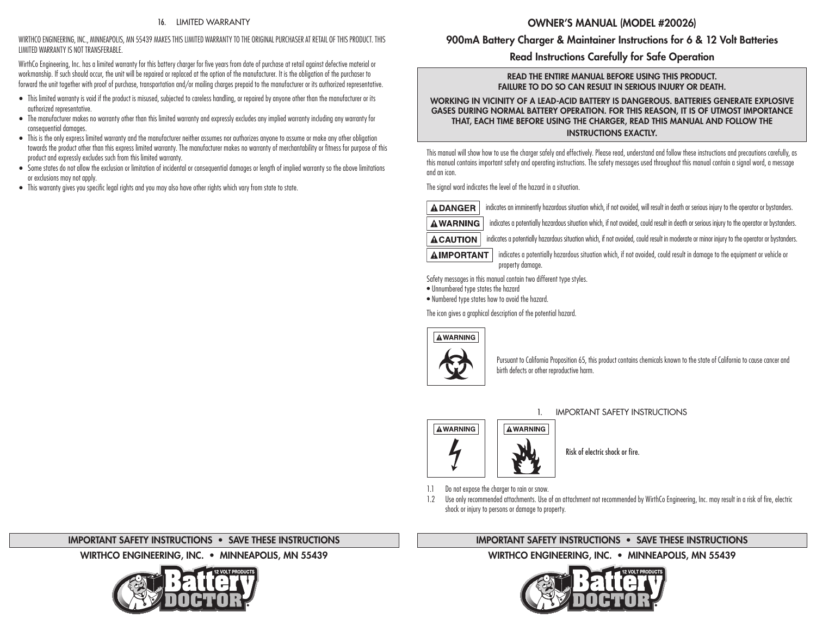#### 16. LIMITED WARRANTY

#### WIRTHCO ENGINEERING, INC., MINNEAPOLIS, MN 55439 MAKES THIS LIMITED WARRANTY TO THE ORIGINAL PURCHASER AT RETAIL OF THIS PRODUCT. THIS LIMITED WARRANTY IS NOT TRANSFERABLE.

WirthCo Engineering, Inc. has a limited warranty for this battery charger for five years from date of purchase at retail against defective material or workmanship. If such should occur, the unit will be repaired or replaced at the option of the manufacturer. It is the obligation of the purchaser to forward the unit together with proof of purchase, transportation and/or mailing charges prepaid to the manufacturer or its authorized representative.

- This limited warranty is void if the product is misused, subjected to careless handling, or repaired by anyone other than the manufacturer or its authorized representative.
- The manufacturer makes no warranty other than this limited warranty and expressly excludes any implied warranty including any warranty for consequential damages.
- This is the only express limited warranty and the manufacturer neither assumes nor authorizes anyone to assume or make any other obligation towards the product other than this express limited warranty. The manufacturer makes no warranty of merchantability or fitness for purpose of this product and expressly excludes such from this limited warranty.
- Some states do not allow the exclusion or limitation of incidental or consequential damages or length of implied warranty so the above limitations or exclusions may not apply.
- This warranty gives you specific legal rights and you may also have other rights which vary from state to state.

# OWNER'S MANUAL (MODEL #20026)

# 900mA Battery Charger & Maintainer Instructions for 6 & 12 Volt Batteries

# Read Instructions Carefully for Safe Operation

#### READ THE ENTIRE MANUAL BEFORE USING THIS PRODUCT. FAILURE TO DO SO CAN RESULT IN SERIOUS INJURY OR DEATH.

WORKING IN VICINITY OF A LEAD-ACID BATTERY IS DANGEROUS. BATTERIES GENERATE EXPLOSIVE GASES DURING NORMAL BATTERY OPERATION. FOR THIS REASON, IT IS OF UTMOST IMPORTANCE THAT, EACH TIME BEFORE USING THE CHARGER, READ THIS MANUAL AND FOLLOW THE INSTRUCTIONS EXACTLY.

This manual will show how to use the charger safely and effectively. Please read, understand and follow these instructions and precautions carefully, as this manual contains important safety and operating instructions. The safety messages used throughout this manual contain a signal word, a message and an icon.

The signal word indicates the level of the hazard in a situation.

**ADANGER** indicates an imminently hazardous situation which, if not avoided, will result in death or serious injury to the operator or bystanders.

 indicates a potentially hazardous situation which, if not avoided, could result in death or serious injury to the operator or bystanders. **AWARNING** 

**ACAUTION** indicates a potentially hazardous situation which, if not avoided, could result in moderate or minor injury to the operator or bystanders.

**A IMPORTANT** indicates a potentially hazardous situation which, if not avoided, could result in damage to the equipment or vehicle or property damage.

Safety messages in this manual contain two different type styles.

• Unnumbered type states the hazard

• Numbered type states how to avoid the hazard.

The icon gives a graphical description of the potential hazard.



Pursuant to California Proposition 65, this product contains chemicals known to the state of California to cause cancer and birth defects or other reproductive harm.



## 1. IMPORTANT SAFETY INSTRUCTIONS

Risk of electric shock or fire.

1.1 Do not expose the charger to rain or snow.

1.2 Use only recommended attachments. Use of an attachment not recommended by WirthCo Engineering, Inc. may result in a risk of fire, electric shock or injury to persons or damage to property.

# IMPORTANT SAFETY INSTRUCTIONS • SAVE THESE INSTRUCTIONS

WIRTHCO ENGINEERING, INC. • MINNEAPOLIS, MN 55439



## IMPORTANT SAFETY INSTRUCTIONS • SAVE THESE INSTRUCTIONS

WIRTHCO ENGINEERING, INC. • MINNEAPOLIS, MN 55439

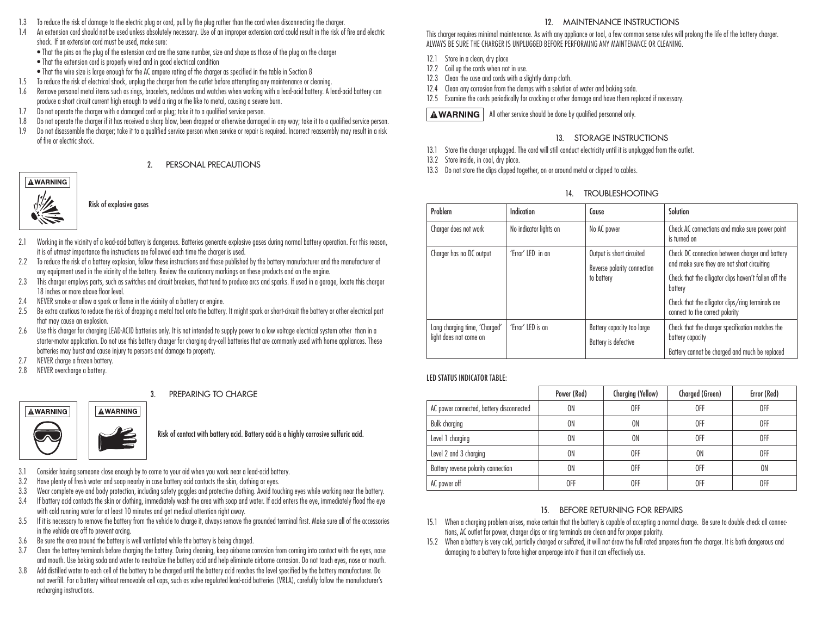- 1.3 To reduce the risk of damage to the electric plug or cord, pull by the plug rather than the cord when disconnecting the charger.
- 1.4 An extension cord should not be used unless absolutely necessary. Use of an improper extension cord could result in the risk of fire and electric shock. If an extension cord must be used, make sure:
	- That the pins on the plug of the extension cord are the same number, size and shape as those of the plug on the charger
	- That the extension cord is properly wired and in good electrical condition
	- That the wire size is large enough for the AC ampere rating of the charger as specified in the table in Section 8
- 1.5 To reduce the risk of electrical shock, unplug the charger from the outlet before attempting any maintenance or cleaning.
- 1.6 Remove personal metal items such as rings, bracelets, necklaces and watches when working with a lead-acid battery. A lead-acid battery can produce a short circuit current high enough to weld a ring or the like to metal, causing a severe burn.
- 1.7 Do not operate the charger with a damaged cord or plug; take it to a qualified service person.
- 1.8 Do not operate the charger if it has received a sharp blow, been dropped or otherwise damaged in any way; take it to a qualified service person.
- 1.9 Do not disassemble the charger; take it to a qualified service person when service or repair is required. Incorrect reassembly may result in a risk of fire or electric shock.

#### 2. PERSONAL PRECAUTIONS

# **AWARNING**



Risk of explosive gases

- 2.1 Working in the vicinity of a lead-acid battery is dangerous. Batteries generate explosive gases during normal battery operation. For this reason, it is of utmost importance the instructions are followed each time the charger is used.
- 2.2 To reduce the risk of a battery explosion, follow these instructions and those published by the battery manufacturer and the manufacturer of any equipment used in the vicinity of the battery. Review the cautionary markings on these products and on the engine.
- 2.3 This charger employs parts, such as switches and circuit breakers, that tend to produce arcs and sparks. If used in a garage, locate this charger 18 inches or more above floor level.
- 2.4 NEVER smoke or allow a spark or flame in the vicinity of a battery or engine.
- 2.5 Be extra cautious to reduce the risk of dropping a metal tool onto the battery. It might spark or short-circuit the battery or other electrical part that may cause an explosion.
- 2.6 Use this charger for charging LEAD-ACID batteries only. It is not intended to supply power to a low voltage electrical system other than in a starter-motor application. Do not use this battery charger for charging dry-cell batteries that are commonly used with home appliances. These batteries may burst and cause injury to persons and damage to property.
- 2.7 NEVER charge a frozen battery.
- 2.8 NEVER overcharge a battery.

#### 3. PREPARING TO CHARGE



Risk of contact with battery acid. Battery acid is a highly corrosive sulfuric acid.

- 3.1 Consider having someone close enough by to come to your aid when you work near a lead-acid battery.
- 3.2 Have plenty of fresh water and soap nearby in case battery acid contacts the skin, clothing or eyes.
- 3.3 Wear complete eye and body protection, including safety goggles and protective clothing. Avoid touching eyes while working near the battery.
- 3.4 If battery acid contacts the skin or clothing, immediately wash the area with soap and water. If acid enters the eye, immediately flood the eye with cold running water for at least 10 minutes and get medical attention right away.
- 3.5 If it is necessary to remove the battery from the vehicle to charge it, always remove the grounded terminal first. Make sure all of the accessories in the vehicle are off to prevent arcing.
- 3.6 Be sure the area around the battery is well ventilated while the battery is being charged.
- 3.7 Clean the battery terminals before charging the battery. During cleaning, keep airborne corrosion from coming into contact with the eyes, nose and mouth. Use baking soda and water to neutralize the battery acid and help eliminate airborne corrosion. Do not touch eyes, nose or mouth.
- 3.8 Add distilled water to each cell of the battery to be charged until the battery acid reaches the level specified by the battery manufacturer. Do not overfill. For a battery without removable cell caps, such as valve regulated lead-acid batteries (VRLA), carefully follow the manufacturer's recharging instructions.

# 12. MAINTENANCE INSTRUCTIONS

This charger requires minimal maintenance. As with any appliance or tool, a few common sense rules will prolong the life of the battery charger. ALWAYS BE SURE THE CHARGER IS UNPLUGGED BEFORE PERFORMING ANY MAINTENANCE OR CLEANING.

- 12.1 Store in a clean, dry place
- 12.2 Coil up the cords when not in use.
- 12.3 Clean the case and cords with a slightly damp cloth.
- 12.4 Clean any corrosion from the clamps with a solution of water and baking soda.
- 12.5 Examine the cords periodically for cracking or other damage and have them replaced if necessary.

**AWARNING** | All other service should be done by qualified personnel only.

## 13. STORAGE INSTRUCTIONS

- 13.1 Store the charger unplugged. The cord will still conduct electricity until it is unplugged from the outlet.
- 13.2 Store inside, in cool, dry place.
- 13.3 Do not store the clips clipped together, on or around metal or clipped to cables.

## 14. TROUBLESHOOTING

| Problem                                                 | Indication             | Cause                                                                  | Solution                                                                                                                                                                                                                                                   |
|---------------------------------------------------------|------------------------|------------------------------------------------------------------------|------------------------------------------------------------------------------------------------------------------------------------------------------------------------------------------------------------------------------------------------------------|
| Charger does not work                                   | No indicator lights on | No AC power                                                            | Check AC connections and make sure power point<br>is turned on                                                                                                                                                                                             |
| Charger has no DC output                                | 'Error' LED in on      | Output is short circuited<br>Reverse polarity connection<br>to battery | Check DC connection between charger and battery<br>and make sure they are not short circuiting<br>Check that the alligator clips haven't fallen off the<br>battery<br>Check that the alligator clips/ring terminals are<br>connect to the correct polarity |
| Long charging time, 'Charged'<br>light does not come on | 'Error' LED is on      | Battery capacity too large<br>Battery is defective                     | Check that the charger specification matches the<br>battery capacity<br>Battery cannot be charged and much be replaced                                                                                                                                     |

#### LED STATUS INDICATOR TABLE:

|                                          | Power (Red) | Charging (Yellow) | Charged (Green) | Error (Red) |
|------------------------------------------|-------------|-------------------|-----------------|-------------|
| AC power connected, battery disconnected | ON          | 0FF               | 0FF             | 0FF         |
| <b>Bulk charging</b>                     | 0N          | <b>ON</b>         | 0FF             | 0FF         |
| Level 1 charging                         | 0N          | 0N                | 0FF             | 0FF         |
| Level 2 and 3 charging                   | 0N          | OFF               | 0N              | 0FF         |
| Battery reverse polarity connection      | ON          | OFF               | 0FF             | 0N          |
| AC power off                             | 0FF         | 0FF               | 0FF             | OFF         |

## 15. BEFORE RETURNING FOR REPAIRS

- 15.1 When a charging problem arises, make certain that the battery is capable of accepting a normal charge. Be sure to double check all connections, AC outlet for power, charger clips or ring terminals are clean and for proper polarity.
- 15.2 When a battery is very cold, partially charged or sulfated, it will not draw the full rated amperes from the charger. It is both dangerous and damaging to a battery to force higher amperage into it than it can effectively use.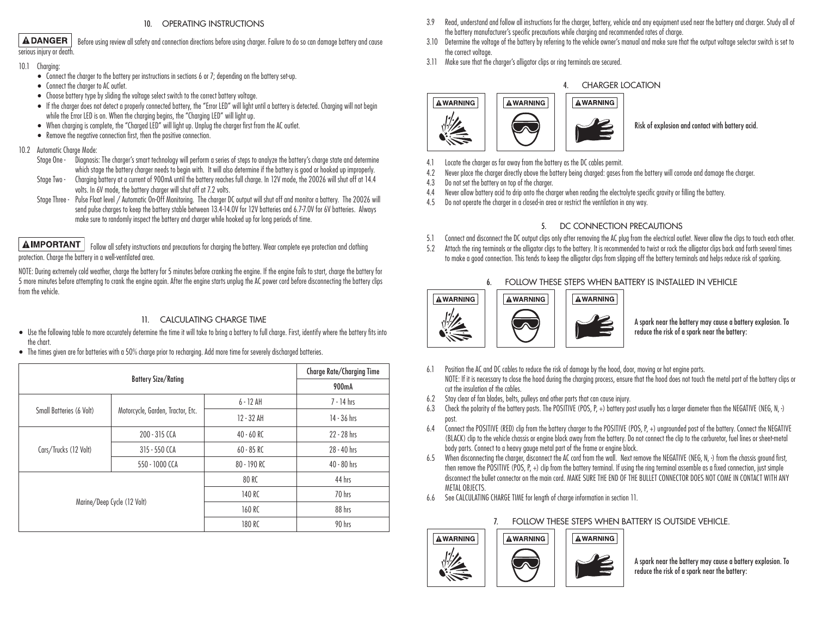#### 10. OPERATING INSTRUCTIONS

Before using review all safety and connection directions before using charger. Failure to do so can damage battery and cause

**ADANGER** 

serious injury or death.

- 10.1 Charging:
	- Connect the charger to the battery per instructions in sections 6 or 7; depending on the battery set-up.
	- Connect the charger to AC outlet.
	- Choose battery type by sliding the voltage select switch to the correct battery voltage.
	- If the charger does not detect a properly connected battery, the "Error LED" will light until a battery is detected. Charging will not begin while the Error LED is on. When the charging begins, the "Charging LED" will light up.
	- When charging is complete, the "Charged LED" will light up. Unplug the charger first from the AC outlet.
	- Remove the negative connection first, then the positive connection.

#### 10.2 Automatic Charge Mode:

- Stage One Diagnosis: The charger's smart technology will perform a series of steps to analyze the battery's charge state and determine which stage the battery charger needs to begin with. It will also determine if the battery is good or hooked up improperly.
- Stage Two Charging battery at a current of 900mA until the battery reaches full charge. In 12V mode, the 20026 will shut off at 14.4 volts. In 6V mode, the battery charger will shut off at 7.2 volts.
- Stage Three Pulse Float level / Automatic On-Off Monitoring. The charger DC output will shut off and monitor a battery. The 20026 will send pulse charges to keep the battery stable between 13.4-14.0V for 12V batteries and 6.7-7.0V for 6V batteries. Always make sure to randomly inspect the battery and charger while hooked up for long periods of time.

## **AIMPORTANT**

 Follow all safety instructions and precautions for charging the battery. Wear complete eye protection and clothing protection. Charge the battery in a well-ventilated area.

NOTE: During extremely cold weather, charge the battery for 5 minutes before cranking the engine. If the engine fails to start, charge the battery for 5 more minutes before attempting to crank the engine again. After the engine starts unplug the AC power cord before disconnecting the battery clips from the vehicle.

#### 11. CALCULATING CHARGE TIME

- Use the following table to more accurately determine the time it will take to bring a battery to full charge. First, identify where the battery fits into the chart.
- The times given are for batteries with a 50% charge prior to recharging. Add more time for severely discharged batteries.

|                          | Charge Rate/Charging Time         |              |               |
|--------------------------|-----------------------------------|--------------|---------------|
|                          | 900mA                             |              |               |
|                          | Motorcycle, Garden, Tractor, Etc. | $6 - 12$ AH  | $7 - 14$ hrs  |
| Small Batteries (6 Volt) |                                   | 12 - 32 AH   | 14 - 36 hrs   |
|                          | 200 - 315 CCA                     | $40 - 60$ RC | $22 - 28$ hrs |
| Cars/Trucks (12 Volt)    | 315 - 550 CCA                     | $60 - 85$ RC | $28 - 40$ hrs |
|                          | 550 - 1000 CCA                    | 80 - 190 RC  | $40 - 80$ hrs |
|                          |                                   | 80 RC        | 44 hrs        |
|                          |                                   | 140 RC       | 70 hrs        |
|                          | Marine/Deep Cycle (12 Volt)       | 160 RC       | 88 hrs        |
|                          |                                   | 180 RC       | 90 hrs        |

- 3.9 Read, understand and follow all instructions for the charger, battery, vehicle and any equipment used near the battery and charger. Study all of the battery manufacturer's specific precautions while charging and recommended rates of charge.
- 3.10 Determine the voltage of the battery by referring to the vehicle owner's manual and make sure that the output voltage selector switch is set to the correct voltage.
- 3.11 Make sure that the charger's alligator clips or ring terminals are secured.



## 4. CHARGER LOCATION

Risk of explosion and contact with battery acid.

- 4.1 Locate the charger as far away from the battery as the DC cables permit.
- 4.2 Never place the charger directly above the battery being charged: gases from the battery will corrode and damage the charger.

**AWARNING** 

- 4.3 Do not set the battery on top of the charger.
- 4.4 Never allow battery acid to drip onto the charger when reading the electrolyte specific gravity or filling the battery.
- 4.5 Do not operate the charger in a closed-in area or restrict the ventilation in any way.

#### 5. DC CONNECTION PRECAUTIONS

- 5.1 Connect and disconnect the DC output clips only after removing the AC plug from the electrical outlet. Never allow the clips to touch each other.
- 5.2 Attach the ring terminals or the alligator clips to the battery. It is recommended to twist or rock the alligator clips back and forth several times
- to make a good connection. This tends to keep the alligator clips from slipping off the battery terminals and helps reduce risk of sparking.



A spark near the battery may cause a battery explosion. To reduce the risk of a spark near the battery:

- 6.1 Position the AC and DC cables to reduce the risk of damage by the hood, door, moving or hot engine parts. NOTE: If it is necessary to close the hood during the charging process, ensure that the hood does not touch the metal part of the battery clips or cut the insulation of the cables.
- 6.2 Stay clear of fan blades, belts, pulleys and other parts that can cause injury.
- 6.3 Check the polarity of the battery posts. The POSITIVE (POS, P, +) battery post usually has a larger diameter than the NEGATIVE (NEG, N, -) post.
- 6.4 Connect the POSITIVE (RED) clip from the battery charger to the POSITIVE (POS, P, +) ungrounded post of the battery. Connect the NEGATIVE (BLACK) clip to the vehicle chassis or engine block away from the battery. Do not connect the clip to the carburetor, fuel lines or sheet-metal body parts. Connect to a heavy gauge metal part of the frame or engine block.
- 6.5 When disconnecting the charger, disconnect the AC cord from the wall. Next remove the NEGATIVE (NEG, N, -) from the chassis ground first, then remove the POSITIVE (POS, P, +) clip from the battery terminal. If using the ring terminal assemble as a fixed connection, just simple disconnect the bullet connector on the main cord. MAKE SURE THE END OF THE BULLET CONNECTOR DOES NOT COME IN CONTACT WITH ANY METAL OBJECTS.
- 6.6 See CALCULATING CHARGE TIME for length of charge information in section 11.



A spark near the battery may cause a battery explosion. To reduce the risk of a spark near the battery:

## 6. FOLLOW THESE STEPS WHEN BATTERY IS INSTALLED IN VEHICLE